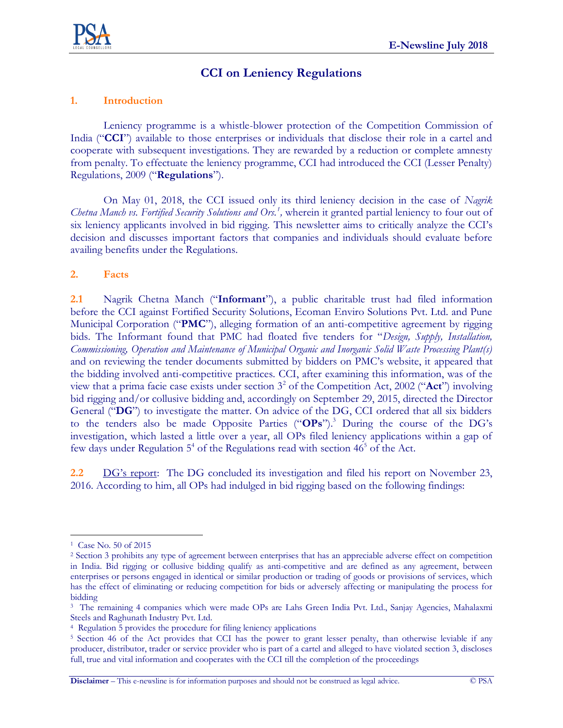

# **CCI on Leniency Regulations**

## **1. Introduction**

Leniency programme is a whistle-blower protection of the Competition Commission of India ("**CCI**") available to those enterprises or individuals that disclose their role in a cartel and cooperate with subsequent investigations. They are rewarded by a reduction or complete amnesty from penalty. To effectuate the leniency programme, CCI had introduced the CCI (Lesser Penalty) Regulations, 2009 ("**Regulations**").

On May 01, 2018, the CCI issued only its third leniency decision in the case of *Nagrik Chetna Manch vs. Fortified Security Solutions and Ors.<sup>1</sup> ,* wherein it granted partial leniency to four out of six leniency applicants involved in bid rigging. This newsletter aims to critically analyze the CCI's decision and discusses important factors that companies and individuals should evaluate before availing benefits under the Regulations.

#### **2. Facts**

**2.1** Nagrik Chetna Manch ("**Informant**"), a public charitable trust had filed information before the CCI against Fortified Security Solutions, Ecoman Enviro Solutions Pvt. Ltd. and Pune Municipal Corporation ("**PMC**"), alleging formation of an anti-competitive agreement by rigging bids. The Informant found that PMC had floated five tenders for "*Design, Supply, Installation, Commissioning, Operation and Maintenance of Municipal Organic and Inorganic Solid Waste Processing Plant(s)* and on reviewing the tender documents submitted by bidders on PMC's website, it appeared that the bidding involved anti-competitive practices. CCI, after examining this information, was of the view that a prima facie case exists under section 3<sup>2</sup> of the Competition Act, 2002 ("Act") involving bid rigging and/or collusive bidding and, accordingly on September 29, 2015, directed the Director General ("**DG**") to investigate the matter. On advice of the DG, CCI ordered that all six bidders to the tenders also be made Opposite Parties ("**OPs**"). <sup>3</sup> During the course of the DG's investigation, which lasted a little over a year, all OPs filed leniency applications within a gap of few days under Regulation  $5<sup>4</sup>$  of the Regulations read with section  $46<sup>5</sup>$  of the Act.

**2.2** DG's report: The DG concluded its investigation and filed his report on November 23, 2016. According to him, all OPs had indulged in bid rigging based on the following findings:

 $\overline{a}$ 1 Case No. 50 of 2015

<sup>2</sup> Section 3 prohibits any type of agreement between enterprises that has an appreciable adverse effect on competition in India. Bid rigging or collusive bidding qualify as anti-competitive and are defined as any agreement, between enterprises or persons engaged in identical or similar production or trading of goods or provisions of services, which has the effect of eliminating or reducing competition for bids or adversely affecting or manipulating the process for bidding

<sup>&</sup>lt;sup>3</sup> The remaining 4 companies which were made OPs are Lahs Green India Pvt. Ltd., Sanjay Agencies, Mahalaxmi Steels and Raghunath Industry Pvt. Ltd.

<sup>4</sup> Regulation 5 provides the procedure for filing leniency applications

<sup>5</sup> Section 46 of the Act provides that CCI has the power to grant lesser penalty, than otherwise leviable if any producer, distributor, trader or service provider who is part of a cartel and alleged to have violated section 3, discloses full, true and vital information and cooperates with the CCI till the completion of the proceedings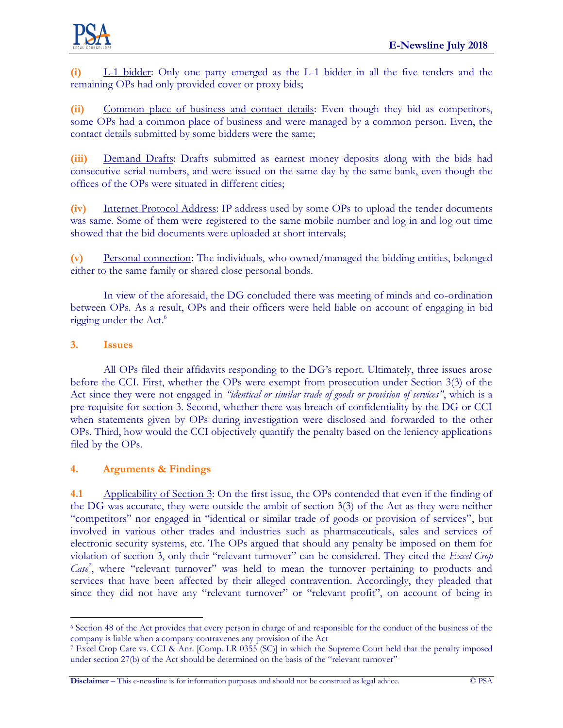**(i)** L-1 bidder: Only one party emerged as the L-1 bidder in all the five tenders and the remaining OPs had only provided cover or proxy bids;

**(ii)** Common place of business and contact details: Even though they bid as competitors, some OPs had a common place of business and were managed by a common person. Even, the contact details submitted by some bidders were the same;

**(iii)** Demand Drafts: Drafts submitted as earnest money deposits along with the bids had consecutive serial numbers, and were issued on the same day by the same bank, even though the offices of the OPs were situated in different cities;

**(iv)** Internet Protocol Address: IP address used by some OPs to upload the tender documents was same. Some of them were registered to the same mobile number and log in and log out time showed that the bid documents were uploaded at short intervals;

**(v)** Personal connection: The individuals, who owned/managed the bidding entities, belonged either to the same family or shared close personal bonds.

In view of the aforesaid, the DG concluded there was meeting of minds and co-ordination between OPs. As a result, OPs and their officers were held liable on account of engaging in bid rigging under the Act.<sup>6</sup>

### **3. Issues**

All OPs filed their affidavits responding to the DG's report. Ultimately, three issues arose before the CCI. First, whether the OPs were exempt from prosecution under Section 3(3) of the Act since they were not engaged in *"identical or similar trade of goods or provision of services"*, which is a pre-requisite for section 3. Second, whether there was breach of confidentiality by the DG or CCI when statements given by OPs during investigation were disclosed and forwarded to the other OPs. Third, how would the CCI objectively quantify the penalty based on the leniency applications filed by the OPs.

## **4. Arguments & Findings**

**4.1** Applicability of Section 3: On the first issue, the OPs contended that even if the finding of the DG was accurate, they were outside the ambit of section 3(3) of the Act as they were neither "competitors" nor engaged in "identical or similar trade of goods or provision of services", but involved in various other trades and industries such as pharmaceuticals, sales and services of electronic security systems, etc. The OPs argued that should any penalty be imposed on them for violation of section 3, only their "relevant turnover" can be considered. They cited the *Excel Crop*  Case<sup>7</sup>, where "relevant turnover" was held to mean the turnover pertaining to products and services that have been affected by their alleged contravention. Accordingly, they pleaded that since they did not have any "relevant turnover" or "relevant profit", on account of being in

**Disclaimer** – This e-newsline is for information purposes and should not be construed as legal advice. © PSA

 $\overline{a}$ <sup>6</sup> Section 48 of the Act provides that every person in charge of and responsible for the conduct of the business of the company is liable when a company contravenes any provision of the Act

<sup>7</sup> Excel Crop Care vs. CCI & Anr. [Comp. LR 0355 (SC)] in which the Supreme Court held that the penalty imposed under section 27(b) of the Act should be determined on the basis of the "relevant turnover"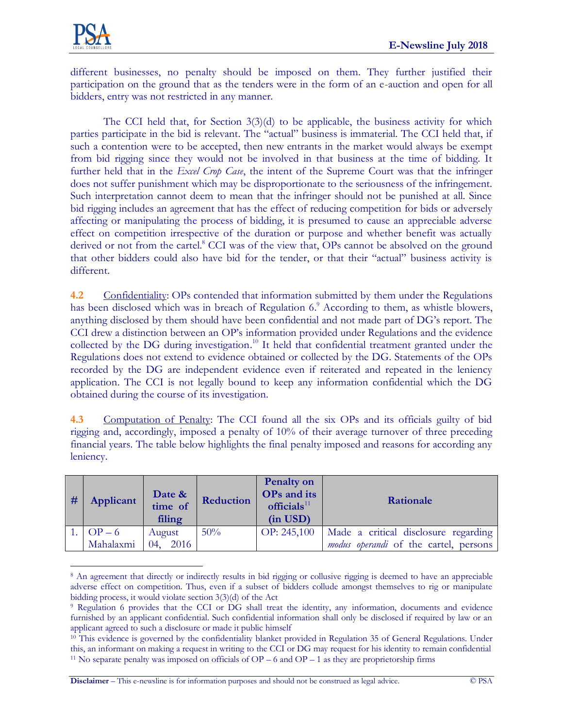

different businesses, no penalty should be imposed on them. They further justified their participation on the ground that as the tenders were in the form of an e-auction and open for all bidders, entry was not restricted in any manner.

The CCI held that, for Section  $3(3)(d)$  to be applicable, the business activity for which parties participate in the bid is relevant. The "actual" business is immaterial. The CCI held that, if such a contention were to be accepted, then new entrants in the market would always be exempt from bid rigging since they would not be involved in that business at the time of bidding. It further held that in the *Excel Crop Case*, the intent of the Supreme Court was that the infringer does not suffer punishment which may be disproportionate to the seriousness of the infringement. Such interpretation cannot deem to mean that the infringer should not be punished at all. Since bid rigging includes an agreement that has the effect of reducing competition for bids or adversely affecting or manipulating the process of bidding, it is presumed to cause an appreciable adverse effect on competition irrespective of the duration or purpose and whether benefit was actually derived or not from the cartel.<sup>8</sup> CCI was of the view that, OPs cannot be absolved on the ground that other bidders could also have bid for the tender, or that their "actual" business activity is different.

**4.2** Confidentiality: OPs contended that information submitted by them under the Regulations has been disclosed which was in breach of Regulation 6.<sup>9</sup> According to them, as whistle blowers, anything disclosed by them should have been confidential and not made part of DG's report. The CCI drew a distinction between an OP's information provided under Regulations and the evidence collected by the DG during investigation. <sup>10</sup> It held that confidential treatment granted under the Regulations does not extend to evidence obtained or collected by the DG. Statements of the OPs recorded by the DG are independent evidence even if reiterated and repeated in the leniency application. The CCI is not legally bound to keep any information confidential which the DG obtained during the course of its investigation.

**4.3** Computation of Penalty: The CCI found all the six OPs and its officials guilty of bid rigging and, accordingly, imposed a penalty of 10% of their average turnover of three preceding financial years. The table below highlights the final penalty imposed and reasons for according any leniency.

| # | Applicant | Date &<br>time of<br>filing | Reduction | <b>Penalty on</b><br>OPs and its<br>officials $11$<br>$(in$ USD $)$ | Rationale                                    |
|---|-----------|-----------------------------|-----------|---------------------------------------------------------------------|----------------------------------------------|
|   | 1. $OP-6$ | August                      | 50%       | OP: 245,100                                                         | Made a critical disclosure regarding         |
|   | Mahalaxmi | 04, 2016                    |           |                                                                     | <i>modus operandi</i> of the cartel, persons |

 $\overline{a}$ <sup>8</sup> An agreement that directly or indirectly results in bid rigging or collusive rigging is deemed to have an appreciable adverse effect on competition. Thus, even if a subset of bidders collude amongst themselves to rig or manipulate bidding process, it would violate section 3(3)(d) of the Act

**Disclaimer** – This e-newsline is for information purposes and should not be construed as legal advice. © PSA

<sup>9</sup> Regulation 6 provides that the CCI or DG shall treat the identity, any information, documents and evidence furnished by an applicant confidential. Such confidential information shall only be disclosed if required by law or an applicant agreed to such a disclosure or made it public himself

<sup>&</sup>lt;sup>10</sup> This evidence is governed by the confidentiality blanket provided in Regulation 35 of General Regulations. Under this, an informant on making a request in writing to the CCI or DG may request for his identity to remain confidential <sup>11</sup> No separate penalty was imposed on officials of  $OP - 6$  and  $OP - 1$  as they are proprietorship firms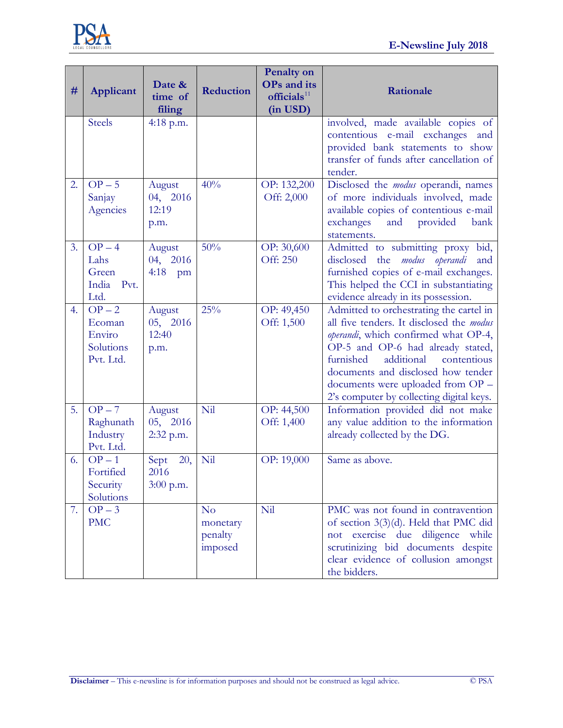

| #  | Applicant                                              | Date &<br>time of<br>filing         | Reduction                                        | <b>Penalty on</b><br><b>OPs</b> and its<br>$\textbf{officials}^{11}$<br>(in USD) | Rationale                                                                                                                                                                                                                                                                                                                         |
|----|--------------------------------------------------------|-------------------------------------|--------------------------------------------------|----------------------------------------------------------------------------------|-----------------------------------------------------------------------------------------------------------------------------------------------------------------------------------------------------------------------------------------------------------------------------------------------------------------------------------|
|    | <b>Steels</b>                                          | $4:18$ p.m.                         |                                                  |                                                                                  | involved, made available copies of<br>contentious e-mail exchanges and<br>provided bank statements to show<br>transfer of funds after cancellation of<br>tender.                                                                                                                                                                  |
| 2. | $OP - 5$<br>Sanjay<br>Agencies                         | August<br>04, 2016<br>12:19<br>p.m. | 40%                                              | OP: 132,200<br>Off: 2,000                                                        | Disclosed the <i>modus</i> operandi, names<br>of more individuals involved, made<br>available copies of contentious e-mail<br>provided<br>exchanges<br>and<br>bank<br>statements.                                                                                                                                                 |
| 3. | $OP-4$<br>Lahs<br>Green<br>India<br>Pvt.<br>Ltd.       | August<br>04, 2016<br>4:18<br>pm    | 50%                                              | OP: 30,600<br>Off: 250                                                           | Admitted to submitting proxy bid,<br>disclosed<br>the <i>modus</i> operandi<br>and<br>furnished copies of e-mail exchanges.<br>This helped the CCI in substantiating<br>evidence already in its possession.                                                                                                                       |
| 4. | $OP - 2$<br>Ecoman<br>Enviro<br>Solutions<br>Pvt. Ltd. | August<br>05, 2016<br>12:40<br>p.m. | 25%                                              | OP: 49,450<br>Off: 1,500                                                         | Admitted to orchestrating the cartel in<br>all five tenders. It disclosed the modus<br>operandi, which confirmed what OP-4,<br>OP-5 and OP-6 had already stated,<br>additional<br>furnished<br>contentious<br>documents and disclosed how tender<br>documents were uploaded from OP -<br>2's computer by collecting digital keys. |
| 5. | $OP - 7$<br>Raghunath<br>Industry<br>Pvt. Ltd.         | August<br>05, 2016<br>2:32 p.m.     | Nil                                              | OP: 44,500<br>Off: 1,400                                                         | Information provided did not make<br>any value addition to the information<br>already collected by the DG.                                                                                                                                                                                                                        |
| 6. | $OP-1$<br>Fortified<br>Security<br>Solutions           | 20,<br>Sept<br>2016<br>$3:00$ p.m.  | Nil                                              | OP: 19,000                                                                       | Same as above.                                                                                                                                                                                                                                                                                                                    |
| 7. | $OP-3$<br><b>PMC</b>                                   |                                     | N <sub>o</sub><br>monetary<br>penalty<br>imposed | Nil                                                                              | PMC was not found in contravention<br>of section 3(3)(d). Held that PMC did<br>not exercise due diligence while<br>scrutinizing bid documents despite<br>clear evidence of collusion amongst<br>the bidders.                                                                                                                      |